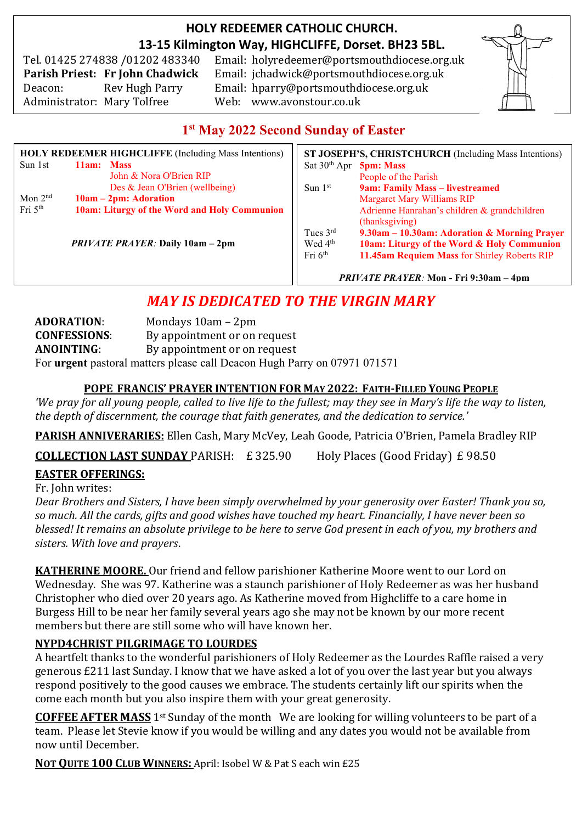## **HOLY REDEEMER CATHOLIC CHURCH. 13-15 Kilmington Way, HIGHCLIFFE, Dorset. BH23 5BL.**

Tel. 01425 274838 /01202 483340 Administrator: Mary Tolfree Web: www.avonstour.co.uk

Email: holyredeemer@portsmouthdiocese.org.uk **Parish Priest: Fr John Chadwick** Email: jchadwick@portsmouthdiocese.org.uk Deacon: Rev Hugh Parry Email: hparry@portsmouthdiocese.org.uk



## **1 st May 2022 Second Sunday of Easter**

| <b>HOLY REDEEMER HIGHCLIFFE (Including Mass Intentions)</b> |                                              | ST JOSEPH'S, CHRISTCHURCH (Including Mass Intentions) |                                              |
|-------------------------------------------------------------|----------------------------------------------|-------------------------------------------------------|----------------------------------------------|
| Sun 1st                                                     | 11am: Mass                                   | Sat $30th$ Apr                                        | <b>5pm: Mass</b>                             |
|                                                             | John & Nora O'Brien RIP                      |                                                       | People of the Parish                         |
|                                                             | Des & Jean O'Brien (wellbeing)               | Sun $1st$                                             | 9am: Family Mass - livestreamed              |
| Mon $2nd$                                                   | $10am - 2pm$ : Adoration                     |                                                       | <b>Margaret Mary Williams RIP</b>            |
| Fri $5th$                                                   | 10am: Liturgy of the Word and Holy Communion |                                                       | Adrienne Hanrahan's children & grandchildren |
|                                                             |                                              |                                                       | (thanksgiving)                               |
|                                                             |                                              | Tues $3rd$                                            | 9.30am - 10.30am: Adoration & Morning Prayer |
|                                                             | <b>PRIVATE PRAYER: Daily 10am - 2pm</b>      | Wed 4 <sup>th</sup>                                   | 10am: Liturgy of the Word & Holy Communion   |
|                                                             |                                              | Fri $6th$                                             | 11.45am Requiem Mass for Shirley Roberts RIP |
|                                                             |                                              |                                                       |                                              |

*PRIVATE PRAYER:* **Mon - Fri 9:30am – 4pm**

## *MAY IS DEDICATED TO THE VIRGIN MARY*

**ADORATION**: Mondays 10am – 2pm **CONFESSIONS**: By appointment or on request **ANOINTING**: By appointment or on request For **urgent** pastoral matters please call Deacon Hugh Parry on 07971 071571

#### **POPE FRANCIS' PRAYER INTENTION FOR MAY 2022: FAITH-FILLED YOUNG PEOPLE**

*'We pray for all young people, called to live life to the fullest; may they see in Mary's life the way to listen, the depth of discernment, the courage that faith generates, and the dedication to service.'*

**PARISH ANNIVERARIES:** Ellen Cash, Mary McVey, Leah Goode, Patricia O'Brien, Pamela Bradley RIP

**COLLECTION LAST SUNDAY** PARISH: £ 325.90 Holy Places (Good Friday) £ 98.50

## **EASTER OFFERINGS:**

Fr. John writes:

*Dear Brothers and Sisters, I have been simply overwhelmed by your generosity over Easter! Thank you so, so much. All the cards, gifts and good wishes have touched my heart. Financially, I have never been so blessed! It remains an absolute privilege to be here to serve God present in each of you, my brothers and sisters. With love and prayers*.

**KATHERINE MOORE.** Our friend and fellow parishioner Katherine Moore went to our Lord on Wednesday. She was 97. Katherine was a staunch parishioner of Holy Redeemer as was her husband Christopher who died over 20 years ago. As Katherine moved from Highcliffe to a care home in Burgess Hill to be near her family several years ago she may not be known by our more recent members but there are still some who will have known her.

## **NYPD4CHRIST PILGRIMAGE TO LOURDES**

A heartfelt thanks to the wonderful parishioners of Holy Redeemer as the Lourdes Raffle raised a very generous £211 last Sunday. I know that we have asked a lot of you over the last year but you always respond positively to the good causes we embrace. The students certainly lift our spirits when the come each month but you also inspire them with your great generosity.

**COFFEE AFTER MASS** 1st Sunday of the month We are looking for willing volunteers to be part of a team. Please let Stevie know if you would be willing and any dates you would not be available from now until December.

**NOT QUITE 100 CLUB WINNERS:** April: Isobel W & Pat S each win £25